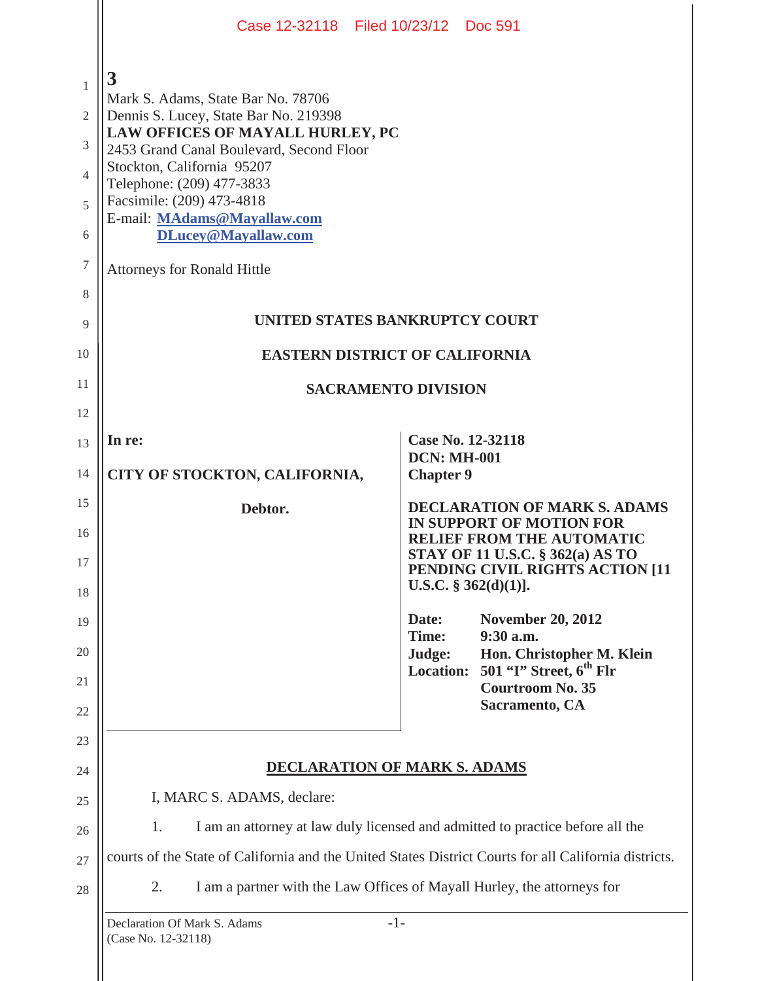|                                                                                     |                                                                                                                                                                                                                                                                                                                                                      | Case 12-32118 Filed 10/23/12 Doc 591                                                                   |
|-------------------------------------------------------------------------------------|------------------------------------------------------------------------------------------------------------------------------------------------------------------------------------------------------------------------------------------------------------------------------------------------------------------------------------------------------|--------------------------------------------------------------------------------------------------------|
| $\mathbf{1}$<br>$\mathfrak{2}$<br>3<br>$\overline{\mathcal{A}}$<br>5<br>6<br>7<br>8 | 3<br>Mark S. Adams, State Bar No. 78706<br>Dennis S. Lucey, State Bar No. 219398<br>LAW OFFICES OF MAYALL HURLEY, PC<br>2453 Grand Canal Boulevard, Second Floor<br>Stockton, California 95207<br>Telephone: (209) 477-3833<br>Facsimile: (209) 473-4818<br>E-mail: MAdams@Mayallaw.com<br>DLucey@Mayallaw.com<br><b>Attorneys for Ronald Hittle</b> |                                                                                                        |
| 9                                                                                   |                                                                                                                                                                                                                                                                                                                                                      | UNITED STATES BANKRUPTCY COURT                                                                         |
| 10                                                                                  | EASTERN DISTRICT OF CALIFORNIA                                                                                                                                                                                                                                                                                                                       |                                                                                                        |
| 11                                                                                  | <b>SACRAMENTO DIVISION</b>                                                                                                                                                                                                                                                                                                                           |                                                                                                        |
| 12                                                                                  |                                                                                                                                                                                                                                                                                                                                                      |                                                                                                        |
| 13<br>14                                                                            | In re:<br>CITY OF STOCKTON, CALIFORNIA,                                                                                                                                                                                                                                                                                                              | Case No. 12-32118<br><b>DCN: MH-001</b><br><b>Chapter 9</b>                                            |
|                                                                                     |                                                                                                                                                                                                                                                                                                                                                      |                                                                                                        |
| 15                                                                                  | Debtor.                                                                                                                                                                                                                                                                                                                                              | <b>DECLARATION OF MARK S. ADAMS</b>                                                                    |
| 16                                                                                  |                                                                                                                                                                                                                                                                                                                                                      | IN SUPPORT OF MOTION FOR<br><b>RELIEF FROM THE AUTOMATIC</b>                                           |
| 17                                                                                  |                                                                                                                                                                                                                                                                                                                                                      | <b>STAY OF 11 U.S.C. § 362(a) AS TO</b><br>PENDING CIVIL RIGHTS ACTION [11<br>U.S.C. $\S 362(d)(1)$ ]. |
| 18<br>19                                                                            |                                                                                                                                                                                                                                                                                                                                                      | Date:<br><b>November 20, 2012</b>                                                                      |
| 20                                                                                  |                                                                                                                                                                                                                                                                                                                                                      | Time:<br>9:30 a.m.<br>Hon. Christopher M. Klein<br>Judge:                                              |
| 21                                                                                  |                                                                                                                                                                                                                                                                                                                                                      | 501 "T" Street, $6th$ Flr<br><b>Location:</b><br><b>Courtroom No. 35</b>                               |
| 22                                                                                  |                                                                                                                                                                                                                                                                                                                                                      | Sacramento, CA                                                                                         |
| 23                                                                                  |                                                                                                                                                                                                                                                                                                                                                      |                                                                                                        |
| 24                                                                                  |                                                                                                                                                                                                                                                                                                                                                      | <b>DECLARATION OF MARK S. ADAMS</b>                                                                    |
| 25                                                                                  | I, MARC S. ADAMS, declare:<br>1.                                                                                                                                                                                                                                                                                                                     | I am an attorney at law duly licensed and admitted to practice before all the                          |
| 26<br>27                                                                            |                                                                                                                                                                                                                                                                                                                                                      | courts of the State of California and the United States District Courts for all California districts.  |
| 28                                                                                  | 2.                                                                                                                                                                                                                                                                                                                                                   | I am a partner with the Law Offices of Mayall Hurley, the attorneys for                                |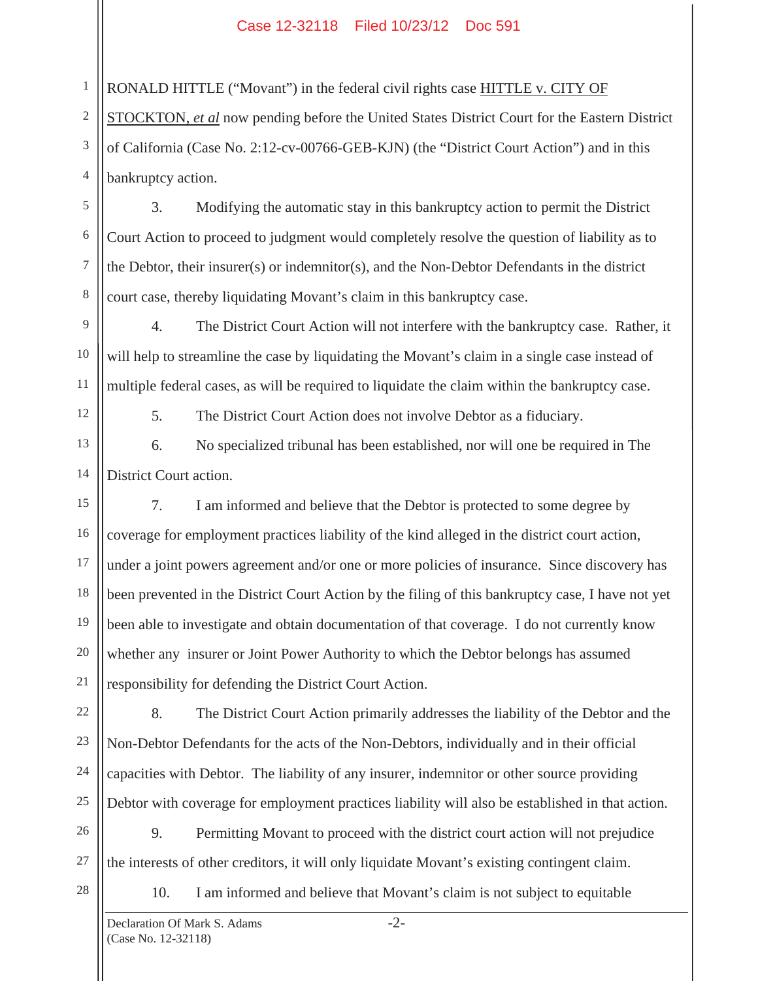## Case 12-32118 Filed 10/23/12 Doc 591

RONALD HITTLE ("Movant") in the federal civil rights case HITTLE v. CITY OF

2 3 4 STOCKTON, *et al* now pending before the United States District Court for the Eastern District of California (Case No. 2:12-cv-00766-GEB-KJN) (the "District Court Action") and in this bankruptcy action.

3. Modifying the automatic stay in this bankruptcy action to permit the District Court Action to proceed to judgment would completely resolve the question of liability as to the Debtor, their insurer(s) or indemnitor(s), and the Non-Debtor Defendants in the district court case, thereby liquidating Movant's claim in this bankruptcy case.

4. The District Court Action will not interfere with the bankruptcy case. Rather, it will help to streamline the case by liquidating the Movant's claim in a single case instead of multiple federal cases, as will be required to liquidate the claim within the bankruptcy case.

1

5

6

7

8

9

10

11

12

5. The District Court Action does not involve Debtor as a fiduciary.

13 14 6. No specialized tribunal has been established, nor will one be required in The District Court action.

15 16 17 18 19 20 7. I am informed and believe that the Debtor is protected to some degree by coverage for employment practices liability of the kind alleged in the district court action, under a joint powers agreement and/or one or more policies of insurance. Since discovery has been prevented in the District Court Action by the filing of this bankruptcy case, I have not yet been able to investigate and obtain documentation of that coverage. I do not currently know whether any insurer or Joint Power Authority to which the Debtor belongs has assumed responsibility for defending the District Court Action.

8. The District Court Action primarily addresses the liability of the Debtor and the Non-Debtor Defendants for the acts of the Non-Debtors, individually and in their official capacities with Debtor. The liability of any insurer, indemnitor or other source providing Debtor with coverage for employment practices liability will also be established in that action.

26 27 9. Permitting Movant to proceed with the district court action will not prejudice the interests of other creditors, it will only liquidate Movant's existing contingent claim.

28

21

22

23

24

25

10. I am informed and believe that Movant's claim is not subject to equitable